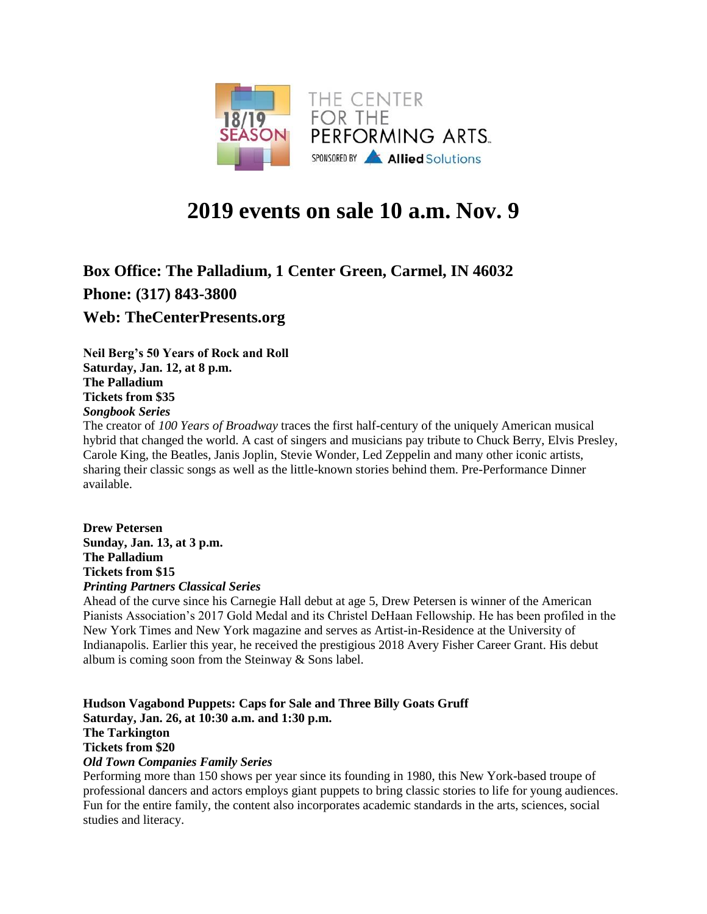

# **2019 events on sale 10 a.m. Nov. 9**

# **Box Office: The Palladium, 1 Center Green, Carmel, IN 46032 Phone: (317) 843-3800 Web: TheCenterPresents.org**

**Neil Berg's 50 Years of Rock and Roll Saturday, Jan. 12, at 8 p.m. The Palladium Tickets from \$35** *Songbook Series*

The creator of *100 Years of Broadway* traces the first half-century of the uniquely American musical hybrid that changed the world. A cast of singers and musicians pay tribute to Chuck Berry, Elvis Presley, Carole King, the Beatles, Janis Joplin, Stevie Wonder, Led Zeppelin and many other iconic artists, sharing their classic songs as well as the little-known stories behind them. Pre-Performance Dinner available.

**Drew Petersen Sunday, Jan. 13, at 3 p.m. The Palladium Tickets from \$15** *Printing Partners Classical Series*

Ahead of the curve since his Carnegie Hall debut at age 5, Drew Petersen is winner of the American Pianists Association's 2017 Gold Medal and its Christel DeHaan Fellowship. He has been profiled in the New York Times and New York magazine and serves as Artist-in-Residence at the University of Indianapolis. Earlier this year, he received the prestigious 2018 Avery Fisher Career Grant. His debut album is coming soon from the Steinway & Sons label.

## **Hudson Vagabond Puppets: Caps for Sale and Three Billy Goats Gruff Saturday, Jan. 26, at 10:30 a.m. and 1:30 p.m. The Tarkington Tickets from \$20**

*Old Town Companies Family Series*

Performing more than 150 shows per year since its founding in 1980, this New York-based troupe of professional dancers and actors employs giant puppets to bring classic stories to life for young audiences. Fun for the entire family, the content also incorporates academic standards in the arts, sciences, social studies and literacy.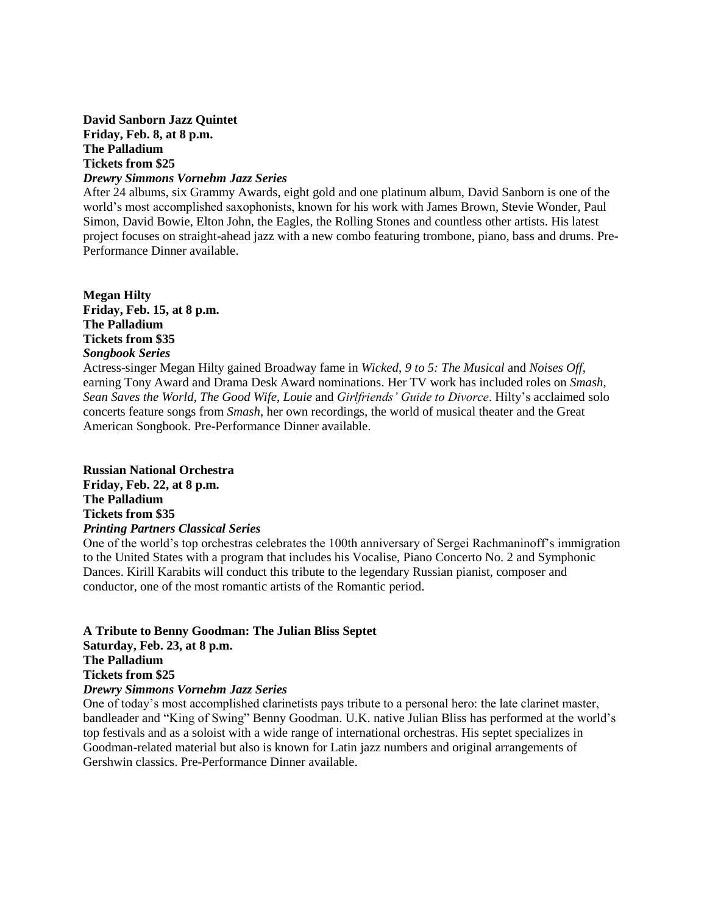# **David Sanborn Jazz Quintet Friday, Feb. 8, at 8 p.m. The Palladium Tickets from \$25**

#### *Drewry Simmons Vornehm Jazz Series*

After 24 albums, six Grammy Awards, eight gold and one platinum album, David Sanborn is one of the world's most accomplished saxophonists, known for his work with James Brown, Stevie Wonder, Paul Simon, David Bowie, Elton John, the Eagles, the Rolling Stones and countless other artists. His latest project focuses on straight-ahead jazz with a new combo featuring trombone, piano, bass and drums. Pre-Performance Dinner available.

**Megan Hilty Friday, Feb. 15, at 8 p.m. The Palladium Tickets from \$35** *Songbook Series*

Actress-singer Megan Hilty gained Broadway fame in *Wicked*, *9 to 5: The Musical* and *Noises Off*, earning Tony Award and Drama Desk Award nominations. Her TV work has included roles on *Smash*, *Sean Saves the World*, *The Good Wife*, *Louie* and *Girlfriends' Guide to Divorce*. Hilty's acclaimed solo concerts feature songs from *Smash*, her own recordings, the world of musical theater and the Great American Songbook. Pre-Performance Dinner available.

#### **Russian National Orchestra**

**Friday, Feb. 22, at 8 p.m. The Palladium Tickets from \$35** *Printing Partners Classical Series*

One of the world's top orchestras celebrates the 100th anniversary of Sergei Rachmaninoff's immigration to the United States with a program that includes his Vocalise, Piano Concerto No. 2 and Symphonic Dances. Kirill Karabits will conduct this tribute to the legendary Russian pianist, composer and conductor, one of the most romantic artists of the Romantic period.

**A Tribute to Benny Goodman: The Julian Bliss Septet Saturday, Feb. 23, at 8 p.m. The Palladium Tickets from \$25** *Drewry Simmons Vornehm Jazz Series*

One of today's most accomplished clarinetists pays tribute to a personal hero: the late clarinet master, bandleader and "King of Swing" Benny Goodman. U.K. native Julian Bliss has performed at the world's top festivals and as a soloist with a wide range of international orchestras. His septet specializes in Goodman-related material but also is known for Latin jazz numbers and original arrangements of Gershwin classics. Pre-Performance Dinner available.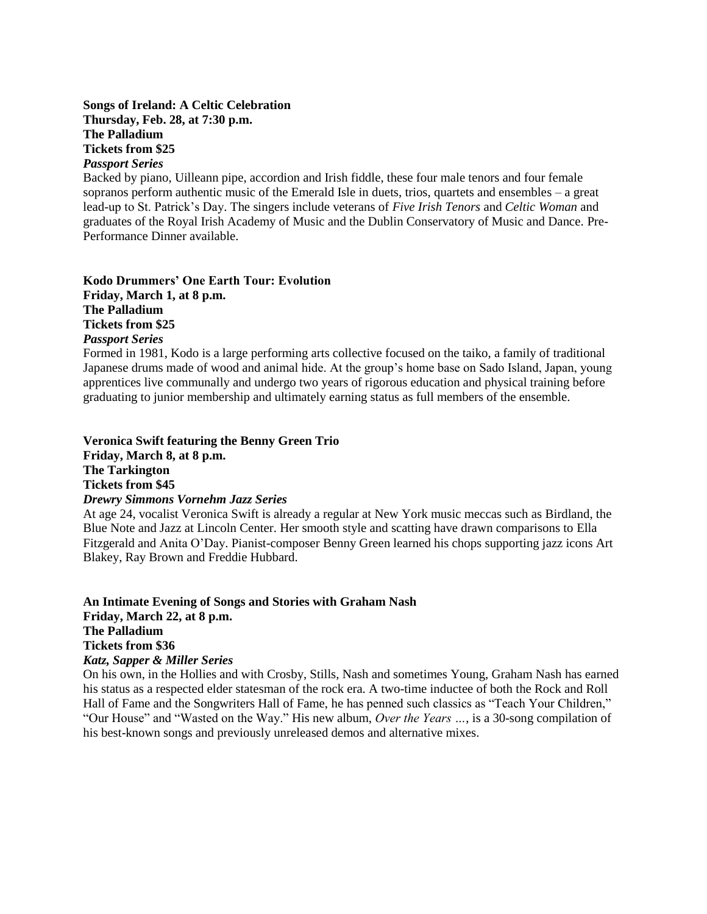#### **Songs of Ireland: A Celtic Celebration Thursday, Feb. 28, at 7:30 p.m. The Palladium Tickets from \$25** *Passport Series*

Backed by piano, Uilleann pipe, accordion and Irish fiddle, these four male tenors and four female sopranos perform authentic music of the Emerald Isle in duets, trios, quartets and ensembles – a great lead-up to St. Patrick's Day. The singers include veterans of *Five Irish Tenors* and *Celtic Woman* and graduates of the Royal Irish Academy of Music and the Dublin Conservatory of Music and Dance. Pre-Performance Dinner available.

**Kodo Drummers' One Earth Tour: Evolution Friday, March 1, at 8 p.m. The Palladium Tickets from \$25** *Passport Series*

Formed in 1981, Kodo is a large performing arts collective focused on the taiko, a family of traditional Japanese drums made of wood and animal hide. At the group's home base on Sado Island, Japan, young apprentices live communally and undergo two years of rigorous education and physical training before graduating to junior membership and ultimately earning status as full members of the ensemble.

# **Veronica Swift featuring the Benny Green Trio Friday, March 8, at 8 p.m. The Tarkington**

**Tickets from \$45**

#### *Drewry Simmons Vornehm Jazz Series*

At age 24, vocalist Veronica Swift is already a regular at New York music meccas such as Birdland, the Blue Note and Jazz at Lincoln Center. Her smooth style and scatting have drawn comparisons to Ella Fitzgerald and Anita O'Day. Pianist-composer Benny Green learned his chops supporting jazz icons Art Blakey, Ray Brown and Freddie Hubbard.

**An Intimate Evening of Songs and Stories with Graham Nash Friday, March 22, at 8 p.m. The Palladium Tickets from \$36** *Katz, Sapper & Miller Series*

On his own, in the Hollies and with Crosby, Stills, Nash and sometimes Young, Graham Nash has earned his status as a respected elder statesman of the rock era. A two-time inductee of both the Rock and Roll Hall of Fame and the Songwriters Hall of Fame, he has penned such classics as "Teach Your Children," "Our House" and "Wasted on the Way." His new album, *Over the Years …*, is a 30-song compilation of his best-known songs and previously unreleased demos and alternative mixes.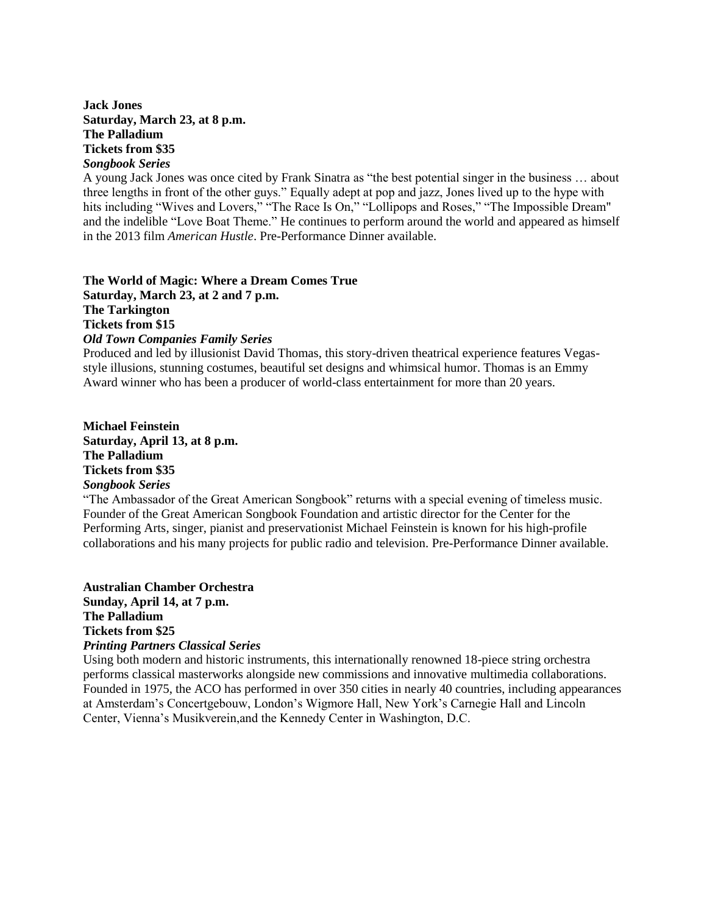#### **Jack Jones Saturday, March 23, at 8 p.m. The Palladium Tickets from \$35** *Songbook Series*

A young Jack Jones was once cited by Frank Sinatra as "the best potential singer in the business … about three lengths in front of the other guys." Equally adept at pop and jazz, Jones lived up to the hype with hits including "Wives and Lovers," "The Race Is On," "Lollipops and Roses," "The Impossible Dream" and the indelible "Love Boat Theme." He continues to perform around the world and appeared as himself in the 2013 film *American Hustle*. Pre-Performance Dinner available.

#### **The World of Magic: Where a Dream Comes True Saturday, March 23, at 2 and 7 p.m. The Tarkington Tickets from \$15** *Old Town Companies Family Series*

Produced and led by illusionist David Thomas, this story-driven theatrical experience features Vegasstyle illusions, stunning costumes, beautiful set designs and whimsical humor. Thomas is an Emmy Award winner who has been a producer of world-class entertainment for more than 20 years.

**Michael Feinstein Saturday, April 13, at 8 p.m. The Palladium Tickets from \$35** *Songbook Series*

"The Ambassador of the Great American Songbook" returns with a special evening of timeless music. Founder of the Great American Songbook Foundation and artistic director for the Center for the Performing Arts, singer, pianist and preservationist Michael Feinstein is known for his high-profile collaborations and his many projects for public radio and television. Pre-Performance Dinner available.

**Australian Chamber Orchestra Sunday, April 14, at 7 p.m. The Palladium Tickets from \$25** *Printing Partners Classical Series*

Using both modern and historic instruments, this internationally renowned 18-piece string orchestra performs classical masterworks alongside new commissions and innovative multimedia collaborations. Founded in 1975, the ACO has performed in over 350 cities in nearly 40 countries, including appearances at Amsterdam's Concertgebouw, London's Wigmore Hall, New York's Carnegie Hall and Lincoln Center, Vienna's Musikverein,and the Kennedy Center in Washington, D.C.